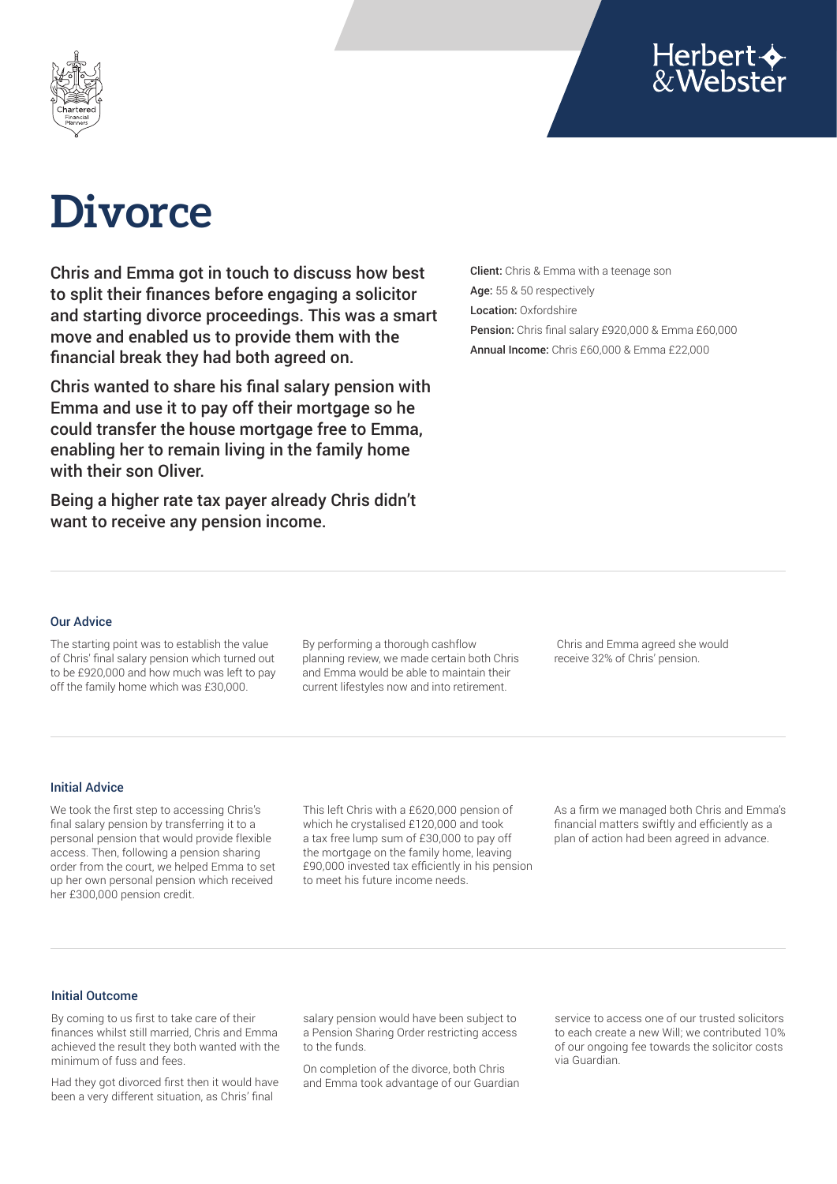



# **Divorce**

Chris and Emma got in touch to discuss how best to split their finances before engaging a solicitor and starting divorce proceedings. This was a smart move and enabled us to provide them with the financial break they had both agreed on.

Chris wanted to share his final salary pension with Emma and use it to pay off their mortgage so he could transfer the house mortgage free to Emma, enabling her to remain living in the family home with their son Oliver.

Being a higher rate tax payer already Chris didn't want to receive any pension income.

Client: Chris & Emma with a teenage son Age: 55 & 50 respectively Location: Oxfordshire Pension: Chris final salary £920,000 & Emma £60,000 Annual Income: Chris £60,000 & Emma £22,000

### Our Advice

The starting point was to establish the value of Chris' final salary pension which turned out to be £920,000 and how much was left to pay off the family home which was £30,000.

By performing a thorough cashflow planning review, we made certain both Chris and Emma would be able to maintain their current lifestyles now and into retirement.

 Chris and Emma agreed she would receive 32% of Chris' pension.

#### Initial Advice

We took the first step to accessing Chris's final salary pension by transferring it to a personal pension that would provide flexible access. Then, following a pension sharing order from the court, we helped Emma to set up her own personal pension which received her £300,000 pension credit.

This left Chris with a £620,000 pension of which he crystalised £120,000 and took a tax free lump sum of £30,000 to pay off the mortgage on the family home, leaving £90,000 invested tax efficiently in his pension to meet his future income needs.

As a firm we managed both Chris and Emma's financial matters swiftly and efficiently as a plan of action had been agreed in advance.

## Initial Outcome

By coming to us first to take care of their finances whilst still married, Chris and Emma achieved the result they both wanted with the minimum of fuss and fees.

Had they got divorced first then it would have been a very different situation, as Chris' final

salary pension would have been subject to a Pension Sharing Order restricting access to the funds.

On completion of the divorce, both Chris and Emma took advantage of our Guardian service to access one of our trusted solicitors to each create a new Will; we contributed 10% of our ongoing fee towards the solicitor costs via Guardian.